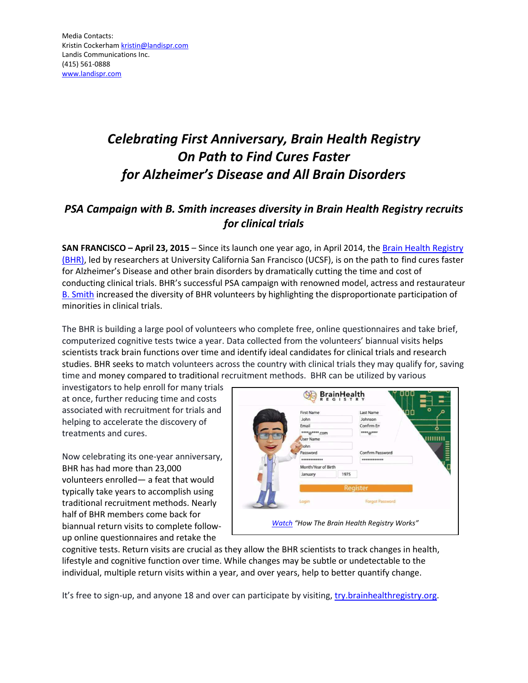# *Celebrating First Anniversary, Brain Health Registry On Path to Find Cures Faster for Alzheimer's Disease and All Brain Disorders*

# *PSA Campaign with B. Smith increases diversity in Brain Health Registry recruits for clinical trials*

**SAN FRANCISCO – April 23, 2015 – Since its launch one year ago, in April 2014, the Brain Health Registry** [\(BHR\),](http://try.brainhealthregistry.org/?utm_source=business_wire&utm_medium=referrer%20&utm_campaign=bhr_1yr) led by researchers at University California San Francisco (UCSF), is on the path to find cures faster for Alzheimer's Disease and other brain disorders by dramatically cutting the time and cost of conducting clinical trials. BHR's successful PSA campaign with renowned model, actress and restaurateur [B. Smith](http://www.bsmith.com/) increased the diversity of BHR volunteers by highlighting the disproportionate participation of minorities in clinical trials.

The BHR is building a large pool of volunteers who complete free, online questionnaires and take brief, computerized cognitive tests twice a year. Data collected from the volunteers' biannual visits helps scientists track brain functions over time and identify ideal candidates for clinical trials and research studies. BHR seeks to match volunteers across the country with clinical trials they may qualify for, saving time and money compared to traditional recruitment methods. BHR can be utilized by various

investigators to help enroll for many trials at once, further reducing time and costs associated with recruitment for trials and helping to accelerate the discovery of treatments and cures.

Now celebrating its one-year anniversary, BHR has had more than 23,000 volunteers enrolled - a feat that would typically take years to accomplish using traditional recruitment methods. Nearly half of BHR members come back for biannual return visits to complete followup online questionnaires and retake the

| <b>First Name</b>   |      | <b>Last Name</b>       |
|---------------------|------|------------------------|
| John                |      | Johnson                |
| Email               |      | Confirm En             |
| ****@****.com       |      | $***a$                 |
| <b>User Name</b>    |      |                        |
| <b>John</b>         |      |                        |
| Password            |      | Confirm Password       |
| ************        |      | ************           |
| Month/Year of Birth |      |                        |
| January             | 1975 |                        |
|                     |      | Register               |
| Login               |      | <b>Forgot Password</b> |

cognitive tests. Return visits are crucial as they allow the BHR scientists to track changes in health, lifestyle and cognitive function over time. While changes may be subtle or undetectable to the individual, multiple return visits within a year, and over years, help to better quantify change.

It's free to sign-up, and anyone 18 and over can participate by visiting, [try.brainhealthregistry.org.](http://try.brainhealthregistry.org/?utm_source=business_wire&utm_medium=referrer%20&utm_campaign=bhr_1yr)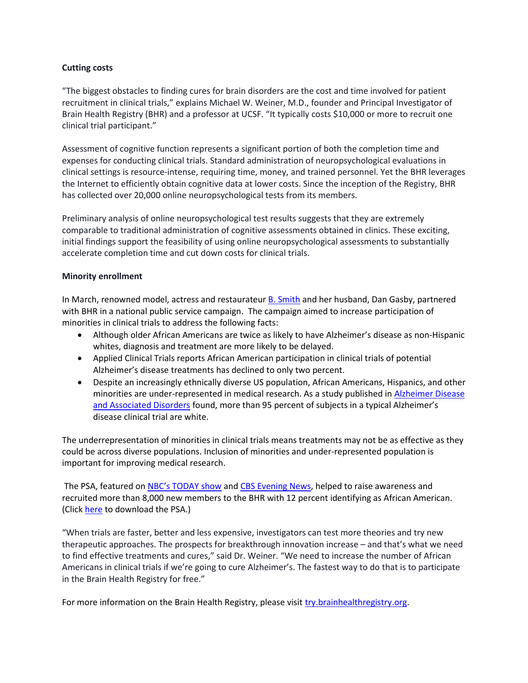## **Cutting costs**

"The biggest obstacles to finding cures for brain disorders are the cost and time involved for patient recruitment in clinical trials," explains Michael W. Weiner, M.D., founder and Principal Investigator of Brain Health Registry (BHR) and a professor at UCSF. "It typically costs \$10,000 or more to recruit one clinical trial participant."

Assessment of cognitive function represents a significant portion of both the completion time and expenses for conducting clinical trials. Standard administration of neuropsychological evaluations in clinical settings is resource-intense, requiring time, money, and trained personnel. Yet the BHR leverages the Internet to efficiently obtain cognitive data at lower costs. Since the inception of the Registry, BHR has collected over 20,000 online neuropsychological tests from its members.

Preliminary analysis of online neuropsychological test results suggests that they are extremely comparable to traditional administration of cognitive assessments obtained in clinics. These exciting, initial findings support the feasibility of using online neuropsychological assessments to substantially accelerate completion time and cut down costs for clinical trials.

### **Minority enrollment**

In March, renowned model, actress and restaurateur [B. Smith](http://www.bsmith.com/) and her husband, Dan Gasby, partnered with BHR in a national public service campaign. The campaign aimed to increase participation of minorities in clinical trials to address the following facts:

- Although older African Americans are twice as likely to have Alzheimer's disease as non-Hispanic whites, diagnosis and treatment are more likely to be delayed.
- Applied Clinical Trials reports African American participation in clinical trials of potential Alzheimer's disease treatments has declined to only two percent.
- Despite an increasingly ethnically diverse US population, African Americans, Hispanics, and other minorities are under-represented in medical research. As a study published in **Alzheimer Disease** [and Associated Disorders](http://www.ncbi.nlm.nih.gov/pubmed/12351920) found, more than 95 percent of subjects in a typical Alzheimer's disease clinical trial are white.

The underrepresentation of minorities in clinical trials means treatments may not be as effective as they could be across diverse populations. Inclusion of minorities and under-represented population is important for improving medical research.

The PSA, featured on NBC's TODAY show and [CBS Evening News,](http://www.cbsnews.com/news/b-smith-alzheimers-stigma-awareness/) helped to raise awareness and recruited more than 8,000 new members to the BHR with 12 percent identifying as African American. (Click [here](https://www.dropbox.com/sh/sosgkwwfz92t1rm/AAAQTBqYHd059zaC-SBxQt63a?dl=0) to download the PSA.)

"When trials are faster, better and less expensive, investigators can test more theories and try new therapeutic approaches. The prospects for breakthrough innovation increase – and that's what we need to find effective treatments and cures," said Dr. Weiner. "We need to increase the number of African Americans in clinical trials if we're going to cure Alzheimer's. The fastest way to do that is to participate in the Brain Health Registry for free."

For more information on the Brain Health Registry, please visi[t try.brainhealthregistry.org.](http://try.brainhealthregistry.org/?utm_source=business_wire&utm_medium=referrer%20&utm_campaign=bhr_1yr)